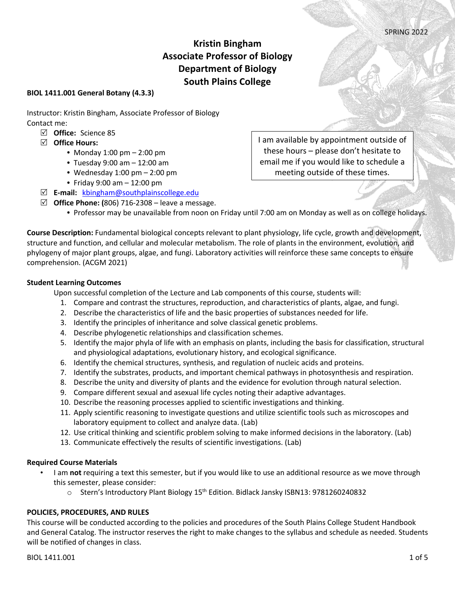# **Kristin Bingham Associate Professor of Biology Department of Biology South Plains College**

## **BIOL 1411.001 General Botany (4.3.3)**

Instructor: Kristin Bingham, Associate Professor of Biology Contact me:

- R **Office:** Science 85
- R **Office Hours:** 
	- **•** Monday 1:00 pm 2:00 pm
	- **•** Tuesday 9:00 am 12:00 am
	- **•** Wednesday 1:00 pm 2:00 pm
	- **•** Friday 9:00 am 12:00 pm
- R **E-mail:** kbingham@southplainscollege.edu
- $\boxtimes$  **Office Phone: (806) 716-2308** leave a message.
	- **•** Professor may be unavailable from noon on Friday until 7:00 am on Monday as well as on college holidays.

**Course Description:** Fundamental biological concepts relevant to plant physiology, life cycle, growth and development, structure and function, and cellular and molecular metabolism. The role of plants in the environment, evolution, and phylogeny of major plant groups, algae, and fungi. Laboratory activities will reinforce these same concepts to ensure comprehension. (ACGM 2021)

#### **Student Learning Outcomes**

Upon successful completion of the Lecture and Lab components of this course, students will:

- 1. Compare and contrast the structures, reproduction, and characteristics of plants, algae, and fungi.
- 2. Describe the characteristics of life and the basic properties of substances needed for life.
- 3. Identify the principles of inheritance and solve classical genetic problems.
- 4. Describe phylogenetic relationships and classification schemes.
- 5. Identify the major phyla of life with an emphasis on plants, including the basis for classification, structural and physiological adaptations, evolutionary history, and ecological significance.
- 6. Identify the chemical structures, synthesis, and regulation of nucleic acids and proteins.
- 7. Identify the substrates, products, and important chemical pathways in photosynthesis and respiration.
- 8. Describe the unity and diversity of plants and the evidence for evolution through natural selection.
- 9. Compare different sexual and asexual life cycles noting their adaptive advantages.
- 10. Describe the reasoning processes applied to scientific investigations and thinking.
- 11. Apply scientific reasoning to investigate questions and utilize scientific tools such as microscopes and laboratory equipment to collect and analyze data. (Lab)
- 12. Use critical thinking and scientific problem solving to make informed decisions in the laboratory. (Lab)
- 13. Communicate effectively the results of scientific investigations. (Lab)

## **Required Course Materials**

- I am **not** requiring a text this semester, but if you would like to use an additional resource as we move through this semester, please consider:
	- o Stern's Introductory Plant Biology 15<sup>th</sup> Edition. Bidlack Jansky ISBN13: 9781260240832

## **POLICIES, PROCEDURES, AND RULES**

This course will be conducted according to the policies and procedures of the South Plains College Student Handbook and General Catalog. The instructor reserves the right to make changes to the syllabus and schedule as needed. Students will be notified of changes in class.

I am available by appointment outside of these hours – please don't hesitate to email me if you would like to schedule a meeting outside of these times.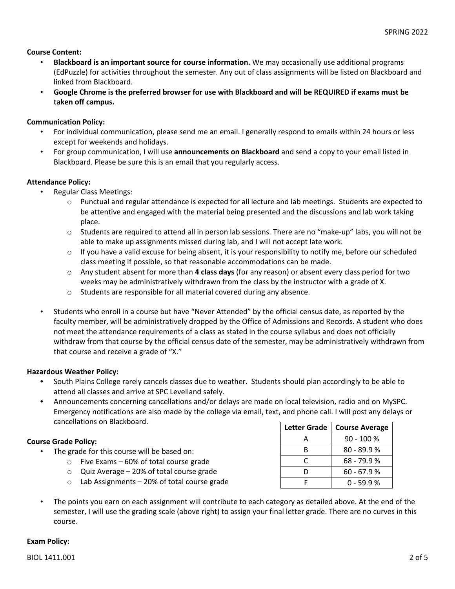## **Course Content:**

- **Blackboard is an important source for course information.** We may occasionally use additional programs (EdPuzzle) for activities throughout the semester. Any out of class assignments will be listed on Blackboard and linked from Blackboard.
- **Google Chrome is the preferred browser for use with Blackboard and will be REQUIRED if exams must be taken off campus.**

## **Communication Policy:**

- For individual communication, please send me an email. I generally respond to emails within 24 hours or less except for weekends and holidays.
- For group communication, I will use **announcements on Blackboard** and send a copy to your email listed in Blackboard. Please be sure this is an email that you regularly access.

## **Attendance Policy:**

- Regular Class Meetings:
	- o Punctual and regular attendance is expected for all lecture and lab meetings. Students are expected to be attentive and engaged with the material being presented and the discussions and lab work taking place.
	- $\circ$  Students are required to attend all in person lab sessions. There are no "make-up" labs, you will not be able to make up assignments missed during lab, and I will not accept late work.
	- $\circ$  If you have a valid excuse for being absent, it is your responsibility to notify me, before our scheduled class meeting if possible, so that reasonable accommodations can be made.
	- o Any student absent for more than **4 class days** (for any reason) or absent every class period for two weeks may be administratively withdrawn from the class by the instructor with a grade of X.
	- o Students are responsible for all material covered during any absence.
- Students who enroll in a course but have "Never Attended" by the official census date, as reported by the faculty member, will be administratively dropped by the Office of Admissions and Records. A student who does not meet the attendance requirements of a class as stated in the course syllabus and does not officially withdraw from that course by the official census date of the semester, may be administratively withdrawn from that course and receive a grade of "X."

## **Hazardous Weather Policy:**

- **•** South Plains College rarely cancels classes due to weather. Students should plan accordingly to be able to attend all classes and arrive at SPC Levelland safely.
- **•** Announcements concerning cancellations and/or delays are made on local television, radio and on MySPC. Emergency notifications are also made by the college via email, text, and phone call. I will post any delays or cancellations on Blackboard.

# **Course Grade Policy:**

- The grade for this course will be based on:
	- o Five Exams 60% of total course grade
	- o Quiz Average 20% of total course grade
	- o Lab Assignments 20% of total course grade
- The points you earn on each assignment will contribute to each category as detailed above. At the end of the semester, I will use the grading scale (above right) to assign your final letter grade. There are no curves in this course.

## **Exam Policy:**

| <b>Letter Grade</b> | <b>Course Average</b> |
|---------------------|-----------------------|
| Δ                   | $90 - 100 %$          |
| в                   | $80 - 89.9 %$         |
| C                   | $68 - 79.9 %$         |
| נו                  | $60 - 67.9 %$         |
|                     | በ - 59.9 %            |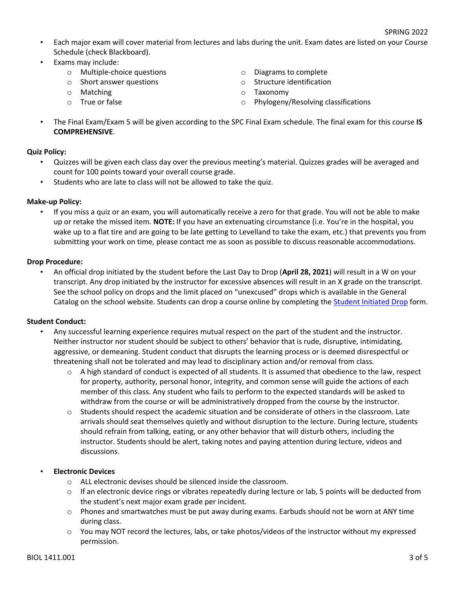- Each major exam will cover material from lectures and labs during the unit. Exam dates are listed on your Course Schedule (check Blackboard).
- Exams may include:
	- o Multiple-choice questions
	- o Short answer questions
	- o Matching
	- o True or false
- o Diagrams to complete
- o Structure identification
- o Taxonomy
- o Phylogeny/Resolving classifications
- The Final Exam/Exam 5 will be given according to the SPC Final Exam schedule. The final exam for this course **IS COMPREHENSIVE**.

## **Quiz Policy:**

- Quizzes will be given each class day over the previous meeting's material. Quizzes grades will be averaged and count for 100 points toward your overall course grade.
- Students who are late to class will not be allowed to take the quiz.

## **Make-up Policy:**

• If you miss a quiz or an exam, you will automatically receive a zero for that grade. You will not be able to make up or retake the missed item. **NOTE:** If you have an extenuating circumstance (i.e. You're in the hospital, you wake up to a flat tire and are going to be late getting to Levelland to take the exam, etc.) that prevents you from submitting your work on time, please contact me as soon as possible to discuss reasonable accommodations.

## **Drop Procedure:**

• An official drop initiated by the student before the Last Day to Drop (**April 28, 2021**) will result in a W on your transcript. Any drop initiated by the instructor for excessive absences will result in an X grade on the transcript. See the school policy on drops and the limit placed on "unexcused" drops which is available in the General Catalog on the school website. Students can drop a course online by completing the Student Initiated Drop form.

## **Student Conduct:**

- Any successful learning experience requires mutual respect on the part of the student and the instructor. Neither instructor nor student should be subject to others' behavior that is rude, disruptive, intimidating, aggressive, or demeaning. Student conduct that disrupts the learning process or is deemed disrespectful or threatening shall not be tolerated and may lead to disciplinary action and/or removal from class.
	- $\circ$  A high standard of conduct is expected of all students. It is assumed that obedience to the law, respect for property, authority, personal honor, integrity, and common sense will guide the actions of each member of this class. Any student who fails to perform to the expected standards will be asked to withdraw from the course or will be administratively dropped from the course by the instructor.
	- $\circ$  Students should respect the academic situation and be considerate of others in the classroom. Late arrivals should seat themselves quietly and without disruption to the lecture. During lecture, students should refrain from talking, eating, or any other behavior that will disturb others, including the instructor. Students should be alert, taking notes and paying attention during lecture, videos and discussions.

# • **Electronic Devices**

- o ALL electronic devises should be silenced inside the classroom.
- $\circ$  If an electronic device rings or vibrates repeatedly during lecture or lab, 5 points will be deducted from the student's next major exam grade per incident.
- $\circ$  Phones and smartwatches must be put away during exams. Earbuds should not be worn at ANY time during class.
- o You may NOT record the lectures, labs, or take photos/videos of the instructor without my expressed permission.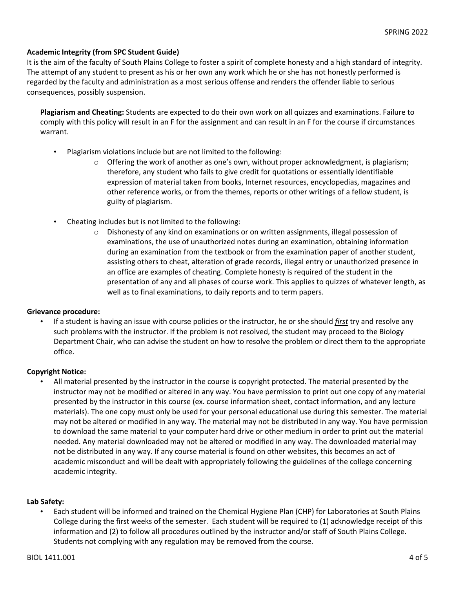## **Academic Integrity (from SPC Student Guide)**

It is the aim of the faculty of South Plains College to foster a spirit of complete honesty and a high standard of integrity. The attempt of any student to present as his or her own any work which he or she has not honestly performed is regarded by the faculty and administration as a most serious offense and renders the offender liable to serious consequences, possibly suspension.

**Plagiarism and Cheating:** Students are expected to do their own work on all quizzes and examinations. Failure to comply with this policy will result in an F for the assignment and can result in an F for the course if circumstances warrant.

- Plagiarism violations include but are not limited to the following:
	- $\circ$  Offering the work of another as one's own, without proper acknowledgment, is plagiarism; therefore, any student who fails to give credit for quotations or essentially identifiable expression of material taken from books, Internet resources, encyclopedias, magazines and other reference works, or from the themes, reports or other writings of a fellow student, is guilty of plagiarism.
- Cheating includes but is not limited to the following:
	- $\circ$  Dishonesty of any kind on examinations or on written assignments, illegal possession of examinations, the use of unauthorized notes during an examination, obtaining information during an examination from the textbook or from the examination paper of another student, assisting others to cheat, alteration of grade records, illegal entry or unauthorized presence in an office are examples of cheating. Complete honesty is required of the student in the presentation of any and all phases of course work. This applies to quizzes of whatever length, as well as to final examinations, to daily reports and to term papers.

## **Grievance procedure:**

• If a student is having an issue with course policies or the instructor, he or she should *first* try and resolve any such problems with the instructor. If the problem is not resolved, the student may proceed to the Biology Department Chair, who can advise the student on how to resolve the problem or direct them to the appropriate office.

## **Copyright Notice:**

• All material presented by the instructor in the course is copyright protected. The material presented by the instructor may not be modified or altered in any way. You have permission to print out one copy of any material presented by the instructor in this course (ex. course information sheet, contact information, and any lecture materials). The one copy must only be used for your personal educational use during this semester. The material may not be altered or modified in any way. The material may not be distributed in any way. You have permission to download the same material to your computer hard drive or other medium in order to print out the material needed. Any material downloaded may not be altered or modified in any way. The downloaded material may not be distributed in any way. If any course material is found on other websites, this becomes an act of academic misconduct and will be dealt with appropriately following the guidelines of the college concerning academic integrity.

## **Lab Safety:**

• Each student will be informed and trained on the Chemical Hygiene Plan (CHP) for Laboratories at South Plains College during the first weeks of the semester. Each student will be required to (1) acknowledge receipt of this information and (2) to follow all procedures outlined by the instructor and/or staff of South Plains College. Students not complying with any regulation may be removed from the course.